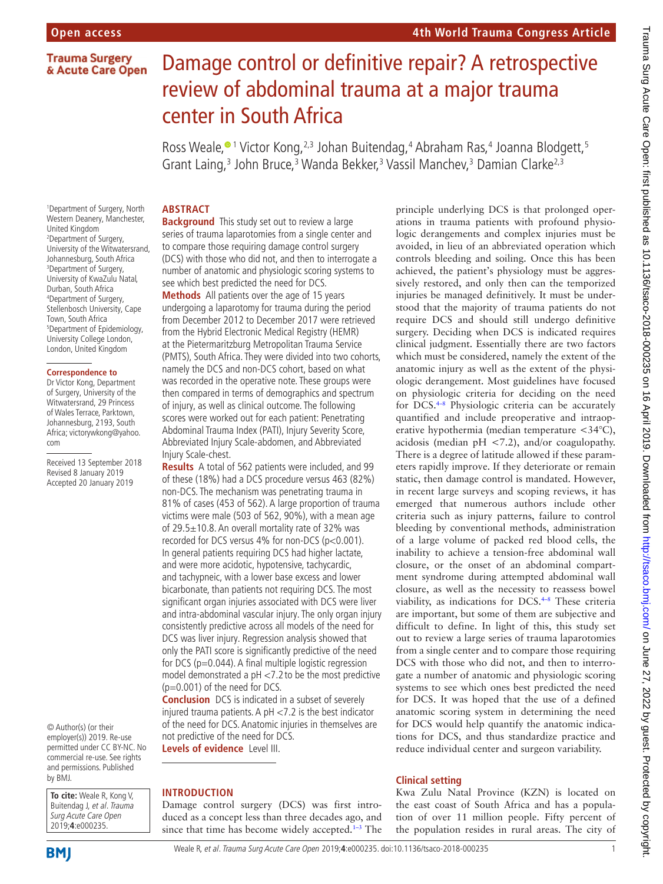# **Trauma Surgery** & Acute Care Open

# Damage control or definitive repair? A retrospective review of abdominal trauma at a major trauma center in South Africa

Ross Weale,<sup>® 1</sup> Victor Kong,<sup>2,3</sup> Johan Buitendag,<sup>4</sup> Abraham Ras,<sup>4</sup> Joanna Blodgett,<sup>5</sup> Grant Laing,<sup>3</sup> John Bruce,<sup>3</sup> Wanda Bekker,<sup>3</sup> Vassil Manchev,<sup>3</sup> Damian Clarke<sup>2,3</sup>

1 Department of Surgery, North Western Deanery, Manchester, United Kingdom 2 Department of Surgery, University of the Witwatersrand, Johannesburg, South Africa 3 Department of Surgery, University of KwaZulu Natal, Durban, South Africa 4 Department of Surgery, Stellenbosch University, Cape Town, South Africa 5 Department of Epidemiology, University College London, London, United Kingdom

#### **Correspondence to**

Dr Victor Kong, Department of Surgery, University of the Witwatersrand, 29 Princess of Wales Terrace, Parktown, Johannesburg, 2193, South Africa; victorywkong@yahoo. com

Received 13 September 2018 Revised 8 January 2019 Accepted 20 January 2019

© Author(s) (or their employer(s)) 2019. Re-use permitted under CC BY-NC. No commercial re-use. See rights and permissions. Published by BMJ.

**To cite:** Weale R, Kong V, Buitendag J, et al. Trauma Surg Acute Care Open 2019;**4**:e000235.

# **Abstract**

**Background** This study set out to review a large series of trauma laparotomies from a single center and to compare those requiring damage control surgery (DCS) with those who did not, and then to interrogate a number of anatomic and physiologic scoring systems to see which best predicted the need for DCS.

**Methods** All patients over the age of 15 years undergoing a laparotomy for trauma during the period from December 2012 to December 2017 were retrieved from the Hybrid Electronic Medical Registry (HEMR) at the Pietermaritzburg Metropolitan Trauma Service (PMTS), South Africa. They were divided into two cohorts, namely the DCS and non-DCS cohort, based on what was recorded in the operative note. These groups were then compared in terms of demographics and spectrum of injury, as well as clinical outcome. The following scores were worked out for each patient: Penetrating Abdominal Trauma Index (PATI), Injury Severity Score, Abbreviated Injury Scale-abdomen, and Abbreviated Injury Scale-chest.

**Results** A total of 562 patients were included, and 99 of these (18%) had a DCS procedure versus 463 (82%) non-DCS. The mechanism was penetrating trauma in 81% of cases (453 of 562). A large proportion of trauma victims were male (503 of 562, 90%), with a mean age of 29.5±10.8. An overall mortality rate of 32% was recorded for DCS versus 4% for non-DCS (p<0.001). In general patients requiring DCS had higher lactate, and were more acidotic, hypotensive, tachycardic, and tachypneic, with a lower base excess and lower bicarbonate, than patients not requiring DCS. The most significant organ injuries associated with DCS were liver and intra-abdominal vascular injury. The only organ injury consistently predictive across all models of the need for DCS was liver injury. Regression analysis showed that only the PATI score is significantly predictive of the need for DCS ( $p=0.044$ ). A final multiple logistic regression model demonstrated a pH <7.2 to be the most predictive (p=0.001) of the need for DCS.

**Conclusion** DCS is indicated in a subset of severely injured trauma patients. A pH <7.2 is the best indicator of the need for DCS. Anatomic injuries in themselves are not predictive of the need for DCS. **Levels of evidence** Level III.

# **Introduction**

Damage control surgery (DCS) was first introduced as a concept less than three decades ago, and since that time has become widely accepted. $1-3$  The principle underlying DCS is that prolonged operations in trauma patients with profound physiologic derangements and complex injuries must be avoided, in lieu of an abbreviated operation which controls bleeding and soiling. Once this has been achieved, the patient's physiology must be aggressively restored, and only then can the temporized injuries be managed definitively. It must be understood that the majority of trauma patients do not require DCS and should still undergo definitive surgery. Deciding when DCS is indicated requires clinical judgment. Essentially there are two factors which must be considered, namely the extent of the anatomic injury as well as the extent of the physiologic derangement. Most guidelines have focused on physiologic criteria for deciding on the need for DCS[.4–8](#page-3-1) Physiologic criteria can be accurately quantified and include preoperative and intraoperative hypothermia (median temperature <34°C), acidosis (median pH <7.2), and/or coagulopathy. There is a degree of latitude allowed if these parameters rapidly improve. If they deteriorate or remain static, then damage control is mandated. However, in recent large surveys and scoping reviews, it has emerged that numerous authors include other criteria such as injury patterns, failure to control bleeding by conventional methods, administration of a large volume of packed red blood cells, the inability to achieve a tension-free abdominal wall closure, or the onset of an abdominal compartment syndrome during attempted abdominal wall closure, as well as the necessity to reassess bowel viability, as indications for DCS.<sup>4-8</sup> These criteria are important, but some of them are subjective and difficult to define. In light of this, this study set out to review a large series of trauma laparotomies from a single center and to compare those requiring DCS with those who did not, and then to interrogate a number of anatomic and physiologic scoring systems to see which ones best predicted the need for DCS. It was hoped that the use of a defined anatomic scoring system in determining the need for DCS would help quantify the anatomic indications for DCS, and thus standardize practice and reduce individual center and surgeon variability.

# **Clinical setting**

Kwa Zulu Natal Province (KZN) is located on the east coast of South Africa and has a population of over 11 million people. Fifty percent of the population resides in rural areas. The city of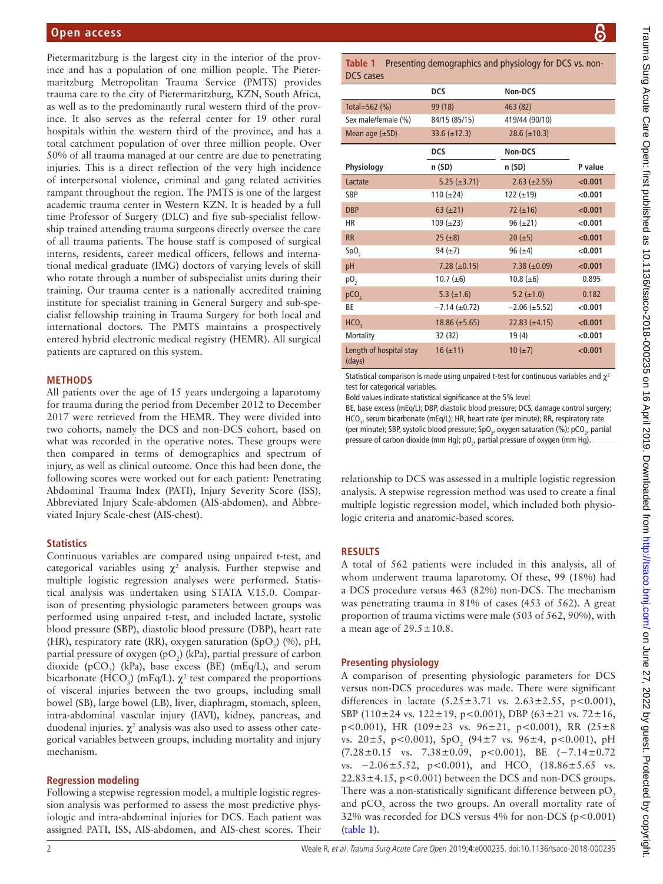# **Open access**

Pietermaritzburg is the largest city in the interior of the province and has a population of one million people. The Pietermaritzburg Metropolitan Trauma Service (PMTS) provides trauma care to the city of Pietermaritzburg, KZN, South Africa, as well as to the predominantly rural western third of the province. It also serves as the referral center for 19 other rural hospitals within the western third of the province, and has a total catchment population of over three million people. Over 50% of all trauma managed at our centre are due to penetrating injuries. This is a direct reflection of the very high incidence of interpersonal violence, criminal and gang related activities rampant throughout the region. The PMTS is one of the largest academic trauma center in Western KZN. It is headed by a full time Professor of Surgery (DLC) and five sub-specialist fellowship trained attending trauma surgeons directly oversee the care of all trauma patients. The house staff is composed of surgical interns, residents, career medical officers, fellows and international medical graduate (IMG) doctors of varying levels of skill who rotate through a number of subspecialist units during their training. Our trauma center is a nationally accredited training institute for specialist training in General Surgery and sub-specialist fellowship training in Trauma Surgery for both local and international doctors. The PMTS maintains a prospectively entered hybrid electronic medical registry (HEMR). All surgical patients are captured on this system.

#### **Methods**

All patients over the age of 15 years undergoing a laparotomy for trauma during the period from December 2012 to December 2017 were retrieved from the HEMR. They were divided into two cohorts, namely the DCS and non-DCS cohort, based on what was recorded in the operative notes. These groups were then compared in terms of demographics and spectrum of injury, as well as clinical outcome. Once this had been done, the following scores were worked out for each patient: Penetrating Abdominal Trauma Index (PATI), Injury Severity Score (ISS), Abbreviated Injury Scale-abdomen (AIS-abdomen), and Abbreviated Injury Scale-chest (AIS-chest).

#### **Statistics**

Continuous variables are compared using unpaired t-test, and categorical variables using  $\chi^2$  analysis. Further stepwise and multiple logistic regression analyses were performed. Statistical analysis was undertaken using STATA V.15.0. Comparison of presenting physiologic parameters between groups was performed using unpaired t-test, and included lactate, systolic blood pressure (SBP), diastolic blood pressure (DBP), heart rate (HR), respiratory rate (RR), oxygen saturation (SpO<sub>2</sub>) (%), pH, partial pressure of oxygen (pO<sub>2</sub>) (kPa), partial pressure of carbon dioxide ( $pCO_2$ ) (kPa), base excess (BE) (mEq/L), and serum bicarbonate (HCO<sub>3</sub>) (mEq/L).  $\chi^2$  test compared the proportions of visceral injuries between the two groups, including small bowel (SB), large bowel (LB), liver, diaphragm, stomach, spleen, intra-abdominal vascular injury (IAVI), kidney, pancreas, and duodenal injuries.  $\chi^2$  analysis was also used to assess other categorical variables between groups, including mortality and injury mechanism.

#### **Regression modeling**

Following a stepwise regression model, a multiple logistic regression analysis was performed to assess the most predictive physiologic and intra-abdominal injuries for DCS. Each patient was assigned PATI, ISS, AIS-abdomen, and AIS-chest scores. Their

<span id="page-1-0"></span>**Table 1** Presenting demographics and physiology for DCS vs. non-DCS cases

|                                   | <b>DCS</b>           | Non-DCS              |         |
|-----------------------------------|----------------------|----------------------|---------|
| Total=562 $(%)$                   | 99 (18)              | 463 (82)             |         |
| Sex male/female (%)               | 84/15 (85/15)        | 419/44 (90/10)       |         |
| Mean age $(\pm SD)$               | 33.6 $(\pm 12.3)$    | 28.6 $(\pm 10.3)$    |         |
|                                   | <b>DCS</b>           | Non-DCS              |         |
| Physiology                        | n(SD)                | n(SD)                | P value |
| Lactate                           | $5.25 (\pm 3.71)$    | $2.63 \ (\pm 2.55)$  | < 0.001 |
| SBP                               | 110 $(\pm 24)$       | 122 $(\pm 19)$       | < 0.001 |
| <b>DBP</b>                        | $63 (\pm 21)$        | 72 $(\pm 16)$        | < 0.001 |
| <b>HR</b>                         | $109 \ (\pm 23)$     | $96 (\pm 21)$        | < 0.001 |
| <b>RR</b>                         | $25 (\pm 8)$         | $20 (\pm 5)$         | < 0.001 |
| SpO <sub>2</sub>                  | 94 $(\pm 7)$         | 96 $(\pm 4)$         | < 0.001 |
| pH                                | 7.28 $(\pm 0.15)$    | $7.38 \ (\pm 0.09)$  | < 0.001 |
| p0,                               | 10.7 $(\pm 6)$       | 10.8 $(\pm 6)$       | 0.895   |
| pCO <sub>2</sub>                  | 5.3 $(\pm 1.6)$      | 5.2 $(\pm 1.0)$      | 0.182   |
| ВE                                | $-7.14 \ (\pm 0.72)$ | $-2.06 (\pm 5.52)$   | < 0.001 |
| HCO <sub>2</sub>                  | $18.86 \ (\pm 5.65)$ | $22.83 \ (\pm 4.15)$ | < 0.001 |
| Mortality                         | 32 (32)              | 19(4)                | < 0.001 |
| Length of hospital stay<br>(days) | $16 (\pm 11)$        | $10 (\pm 7)$         | < 0.001 |

Statistical comparison is made using unpaired t-test for continuous variables and  $\chi^2$ test for categorical variables.

Bold values indicate statistical significance at the 5% level

BE, base excess (mEq/L); DBP, diastolic blood pressure; DCS, damage control surgery; HCO<sub>3</sub>, serum bicarbonate (mEq/L); HR, heart rate (per minute); RR, respiratory rate (per minute); SBP, systolic blood pressure; SpO<sub>2</sub>, oxygen saturation (%); pCO<sub>2</sub>, partial pressure of carbon dioxide (mm Hg);  $pO_{2}$ , partial pressure of oxygen (mm Hg).

relationship to DCS was assessed in a multiple logistic regression analysis. A stepwise regression method was used to create a final multiple logistic regression model, which included both physiologic criteria and anatomic-based scores.

# **Results**

A total of 562 patients were included in this analysis, all of whom underwent trauma laparotomy. Of these, 99 (18%) had a DCS procedure versus 463 (82%) non-DCS. The mechanism was penetrating trauma in 81% of cases (453 of 562). A great proportion of trauma victims were male (503 of 562, 90%), with a mean age of  $29.5 \pm 10.8$ .

# **Presenting physiology**

A comparison of presenting physiologic parameters for DCS versus non-DCS procedures was made. There were significant differences in lactate  $(5.25 \pm 3.71 \text{ vs. } 2.63 \pm 2.55, \text{ p} < 0.001)$ , SBP (110±24 vs. 122±19, p<0.001), DBP (63±21 vs. 72±16, p<0.001), HR (109 $\pm$ 23 vs. 96 $\pm$ 21, p<0.001), RR (25 $\pm$ 8 vs. 20 $\pm$ 5, p<0.001), SpO<sub>2</sub> (94 $\pm$ 7 vs. 96 $\pm$ 4, p<0.001), pH  $(7.28 \pm 0.15 \text{ vs. } 7.38 \pm 0.09, \text{ p} < 0.001), \text{ BE } (-7.14 \pm 0.72)$ vs.  $-2.06 \pm 5.52$ , p<0.001), and HCO<sub>3</sub> (18.86 $\pm$ 5.65 vs.  $22.83 \pm 4.15$ , p<0.001) between the DCS and non-DCS groups. There was a non-statistically significant difference between  $pO<sub>2</sub>$ and  $pCO_2$  across the two groups. An overall mortality rate of 32% was recorded for DCS versus  $4\%$  for non-DCS (p<0.001) ([table](#page-1-0) 1).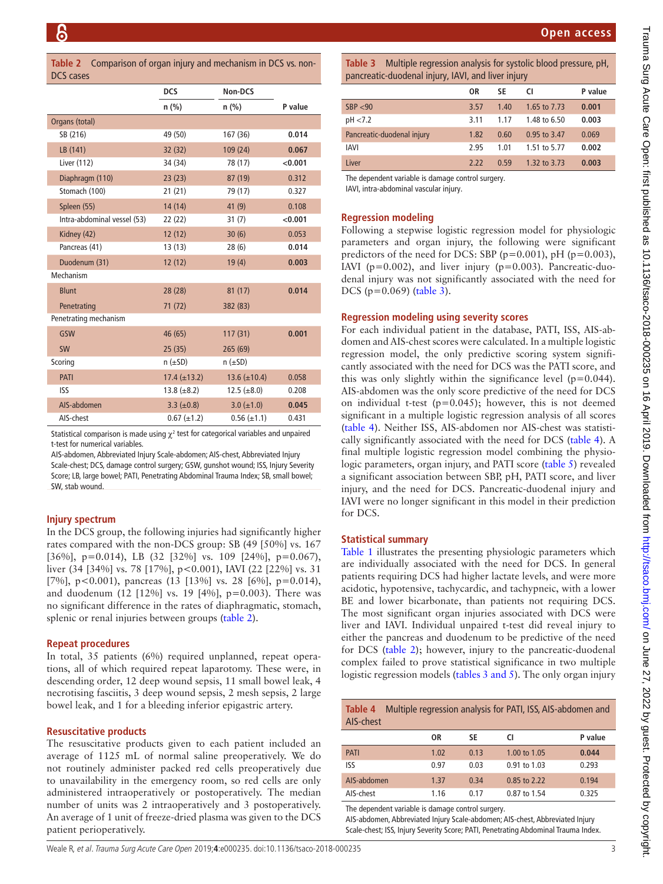<span id="page-2-0"></span>**Table 2** Comparison of organ injury and mechanism in DCS vs. non-DCS cases

|                             | <b>DCS</b>                | Non-DCS                   |         |
|-----------------------------|---------------------------|---------------------------|---------|
|                             | $n$ (%)                   | $n$ (%)                   | P value |
| Organs (total)              |                           |                           |         |
| SB (216)                    | 49 (50)                   | 167 (36)                  | 0.014   |
| LB (141)                    | 32 (32)                   | 109 (24)                  | 0.067   |
| Liver (112)                 | 34 (34)                   | 78 (17)                   | < 0.001 |
| Diaphragm (110)             | 23(23)                    | 87 (19)                   | 0.312   |
| Stomach (100)               | 21(21)                    | 79 (17)                   | 0.327   |
| Spleen (55)                 | 14(14)                    | 41(9)                     | 0.108   |
| Intra-abdominal vessel (53) | 22(22)                    | 31(7)                     | < 0.001 |
| Kidney (42)                 | 12(12)                    | 30(6)                     | 0.053   |
| Pancreas (41)               | 13(13)                    | 28 (6)                    | 0.014   |
| Duodenum (31)               | 12(12)                    | 19(4)                     | 0.003   |
| Mechanism                   |                           |                           |         |
| <b>Blunt</b>                | 28(28)                    | 81(17)                    | 0.014   |
| Penetrating                 | 71 (72)                   | 382 (83)                  |         |
| Penetrating mechanism       |                           |                           |         |
| GSW                         | 46(65)                    | 117(31)                   | 0.001   |
| <b>SW</b>                   | 25(35)                    | 265(69)                   |         |
| Scoring                     | $n \left( \pm SD \right)$ | $n \left( \pm SD \right)$ |         |
| PATI                        | $17.4 (\pm 13.2)$         | $13.6 (\pm 10.4)$         | 0.058   |
| <b>ISS</b>                  | $13.8 (\pm 8.2)$          | $12.5 (\pm 8.0)$          | 0.208   |
| AIS-abdomen                 | 3.3 $(\pm 0.8)$           | $3.0 (\pm 1.0)$           | 0.045   |
| AIS-chest                   | $0.67 (\pm 1.2)$          | $0.56 (\pm 1.1)$          | 0.431   |

Statistical comparison is made using  $\chi^2$  test for categorical variables and unpaired t-test for numerical variables.

AIS-abdomen, Abbreviated Injury Scale-abdomen; AIS-chest, Abbreviated Injury Scale-chest; DCS, damage control surgery; GSW, gunshot wound; ISS, Injury Severity Score; LB, large bowel; PATI, Penetrating Abdominal Trauma Index; SB, small bowel; SW, stab wound.

## **Injury spectrum**

In the DCS group, the following injuries had significantly higher rates compared with the non-DCS group: SB (49 [50%] vs. 167 [36%], p=0.014), LB (32 [32%] vs. 109 [24%], p=0.067), liver (34 [34%] vs. 78 [17%], p<0.001), IAVI (22 [22%] vs. 31 [7%], p<0.001), pancreas (13 [13%] vs. 28 [6%], p=0.014), and duodenum (12 [12%] vs. 19 [4%], p=0.003). There was no significant difference in the rates of diaphragmatic, stomach, splenic or renal injuries between groups ([table](#page-2-0) 2).

#### **Repeat procedures**

In total, 35 patients (6%) required unplanned, repeat operations, all of which required repeat laparotomy. These were, in descending order, 12 deep wound sepsis, 11 small bowel leak, 4 necrotising fasciitis, 3 deep wound sepsis, 2 mesh sepsis, 2 large bowel leak, and 1 for a bleeding inferior epigastric artery.

#### **Resuscitative products**

The resuscitative products given to each patient included an average of 1125 mL of normal saline preoperatively. We do not routinely administer packed red cells preoperatively due to unavailability in the emergency room, so red cells are only administered intraoperatively or postoperatively. The median number of units was 2 intraoperatively and 3 postoperatively. An average of 1 unit of freeze-dried plasma was given to the DCS patient perioperatively.

<span id="page-2-1"></span>**Table 3** Multiple regression analysis for systolic blood pressure, pH, pancreatic-duodenal injury, IAVI, and liver injury

|                            | 0R   | SE   | CI           | P value |
|----------------------------|------|------|--------------|---------|
| SBP < 90                   | 3.57 | 1.40 | 1.65 to 7.73 | 0.001   |
| pH < 7.2                   | 3.11 | 1.17 | 1.48 to 6.50 | 0.003   |
| Pancreatic-duodenal injury | 1.82 | 0.60 | 0.95 to 3.47 | 0.069   |
| <b>IAVI</b>                | 2.95 | 1.01 | 1.51 to 5.77 | 0.002   |
| Liver                      | 2.22 | 0.59 | 1.32 to 3.73 | 0.003   |
| --                         |      |      |              |         |

The dependent variable is damage control surgery.

IAVI, intra-abdominal vascular injury.

# **Regression modeling**

Following a stepwise logistic regression model for physiologic parameters and organ injury, the following were significant predictors of the need for DCS: SBP ( $p=0.001$ ),  $pH$  ( $p=0.003$ ), IAVI ( $p=0.002$ ), and liver injury ( $p=0.003$ ). Pancreatic-duodenal injury was not significantly associated with the need for DCS (p=0.069) ([table](#page-2-1) 3).

#### **Regression modeling using severity scores**

For each individual patient in the database, PATI, ISS, AIS-abdomen and AIS-chest scores were calculated. In a multiple logistic regression model, the only predictive scoring system significantly associated with the need for DCS was the PATI score, and this was only slightly within the significance level  $(p=0.044)$ . AIS-abdomen was the only score predictive of the need for DCS on individual t-test  $(p=0.045)$ ; however, this is not deemed significant in a multiple logistic regression analysis of all scores ([table](#page-2-2) 4). Neither ISS, AIS-abdomen nor AIS-chest was statistically significantly associated with the need for DCS ([table](#page-2-2) 4). A final multiple logistic regression model combining the physiologic parameters, organ injury, and PATI score ([table](#page-3-2) 5) revealed a significant association between SBP, pH, PATI score, and liver injury, and the need for DCS. Pancreatic-duodenal injury and IAVI were no longer significant in this model in their prediction for DCS.

#### **Statistical summary**

[Table](#page-1-0) 1 illustrates the presenting physiologic parameters which are individually associated with the need for DCS. In general patients requiring DCS had higher lactate levels, and were more acidotic, hypotensive, tachycardic, and tachypneic, with a lower BE and lower bicarbonate, than patients not requiring DCS. The most significant organ injuries associated with DCS were liver and IAVI. Individual unpaired t-test did reveal injury to either the pancreas and duodenum to be predictive of the need for DCS [\(table](#page-2-0) 2); however, injury to the pancreatic-duodenal complex failed to prove statistical significance in two multiple logistic regression models (tables [3 and 5](#page-2-1)). The only organ injury

<span id="page-2-2"></span>

|           | Table 4 Multiple regression analysis for PATI, ISS, AIS-abdomen and |
|-----------|---------------------------------------------------------------------|
| AIS-chest |                                                                     |

|             | ΟR   | SE   | CI.          | P value |
|-------------|------|------|--------------|---------|
| <b>PATI</b> | 1.02 | 0.13 | 1.00 to 1.05 | 0.044   |
| ISS         | 0.97 | 0.03 | 0.91 to 1.03 | 0.293   |
| AIS-abdomen | 1.37 | 0.34 | 0.85 to 2.22 | 0.194   |
| AIS-chest   | 1.16 | 0.17 | 0.87 to 1.54 | 0.325   |

The dependent variable is damage control surgery.

AIS-abdomen, Abbreviated Injury Scale-abdomen; AIS-chest, Abbreviated Injury Scale-chest; ISS, Injury Severity Score; PATI, Penetrating Abdominal Trauma Index.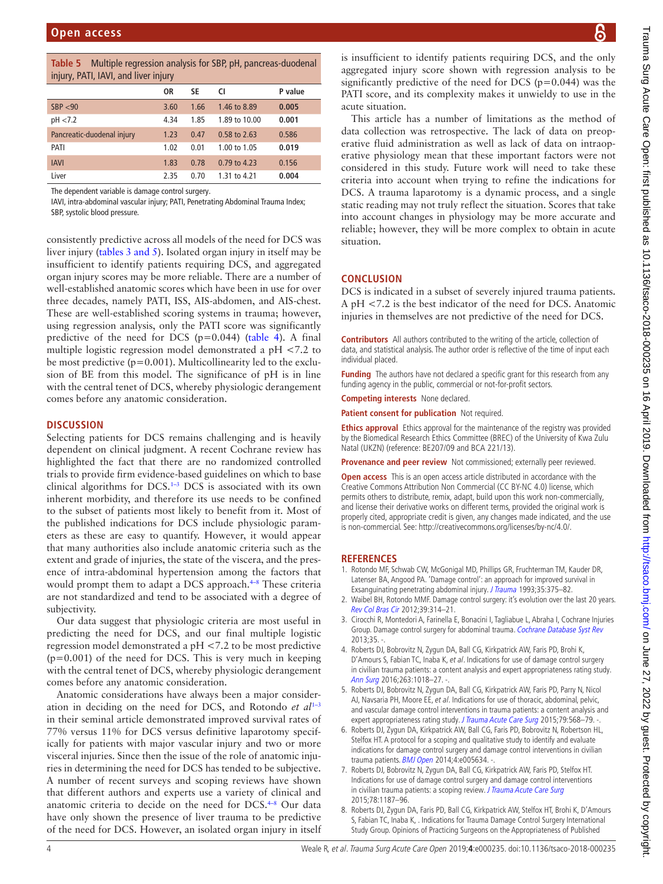<span id="page-3-2"></span>

| <b>Table 5</b> Multiple regression analysis for SBP, pH, pancreas-duodenal |  |
|----------------------------------------------------------------------------|--|
| injury, PATI, IAVI, and liver injury                                       |  |

| $\frac{1}{2}$              |      |      |               |         |  |
|----------------------------|------|------|---------------|---------|--|
|                            | 0R   | SE   | CI            | P value |  |
| SBP < 90                   | 3.60 | 1.66 | 1.46 to 8.89  | 0.005   |  |
| pH < 7.2                   | 4.34 | 1.85 | 1.89 to 10.00 | 0.001   |  |
| Pancreatic-duodenal injury | 1.23 | 0.47 | 0.58 to 2.63  | 0.586   |  |
| PATI                       | 1.02 | 0.01 | 1.00 to 1.05  | 0.019   |  |
| <b>IAVI</b>                | 1.83 | 0.78 | 0.79 to 4.23  | 0.156   |  |
| Liver                      | 2.35 | 0.70 | 1.31 to 4.21  | 0.004   |  |

The dependent variable is damage control surgery.

IAVI, intra-abdominal vascular injury; PATI, Penetrating Abdominal Trauma Index; SBP, systolic blood pressure.

consistently predictive across all models of the need for DCS was liver injury (tables [3 and 5\)](#page-2-1). Isolated organ injury in itself may be insufficient to identify patients requiring DCS, and aggregated organ injury scores may be more reliable. There are a number of well-established anatomic scores which have been in use for over three decades, namely PATI, ISS, AIS-abdomen, and AIS-chest. These are well-established scoring systems in trauma; however, using regression analysis, only the PATI score was significantly predictive of the need for DCS (p=0.044) [\(table](#page-2-2) 4). A final multiple logistic regression model demonstrated a pH <7.2 to be most predictive  $(p=0.001)$ . Multicollinearity led to the exclusion of BE from this model. The significance of pH is in line with the central tenet of DCS, whereby physiologic derangement comes before any anatomic consideration.

#### **Discussion**

Selecting patients for DCS remains challenging and is heavily dependent on clinical judgment. A recent Cochrane review has highlighted the fact that there are no randomized controlled trials to provide firm evidence-based guidelines on which to base clinical algorithms for DCS[.1–3](#page-3-0) DCS is associated with its own inherent morbidity, and therefore its use needs to be confined to the subset of patients most likely to benefit from it. Most of the published indications for DCS include physiologic parameters as these are easy to quantify. However, it would appear that many authorities also include anatomic criteria such as the extent and grade of injuries, the state of the viscera, and the presence of intra-abdominal hypertension among the factors that would prompt them to adapt a DCS approach.<sup>4-8</sup> These criteria are not standardized and tend to be associated with a degree of subjectivity.

Our data suggest that physiologic criteria are most useful in predicting the need for DCS, and our final multiple logistic regression model demonstrated a pH <7.2 to be most predictive (p=0.001) of the need for DCS. This is very much in keeping with the central tenet of DCS, whereby physiologic derangement comes before any anatomic consideration.

Anatomic considerations have always been a major consideration in deciding on the need for DCS, and Rotondo *et al*[1–3](#page-3-0) in their seminal article demonstrated improved survival rates of 77% versus 11% for DCS versus definitive laparotomy specifically for patients with major vascular injury and two or more visceral injuries. Since then the issue of the role of anatomic injuries in determining the need for DCS has tended to be subjective. A number of recent surveys and scoping reviews have shown that different authors and experts use a variety of clinical and anatomic criteria to decide on the need for DCS.<sup>4-8</sup> Our data have only shown the presence of liver trauma to be predictive of the need for DCS. However, an isolated organ injury in itself

is insufficient to identify patients requiring DCS, and the only aggregated injury score shown with regression analysis to be significantly predictive of the need for DCS ( $p=0.044$ ) was the PATI score, and its complexity makes it unwieldy to use in the acute situation.

This article has a number of limitations as the method of data collection was retrospective. The lack of data on preoperative fluid administration as well as lack of data on intraoperative physiology mean that these important factors were not considered in this study. Future work will need to take these criteria into account when trying to refine the indications for DCS. A trauma laparotomy is a dynamic process, and a single static reading may not truly reflect the situation. Scores that take into account changes in physiology may be more accurate and reliable; however, they will be more complex to obtain in acute situation.

# **Conclusion**

DCS is indicated in a subset of severely injured trauma patients. A pH <7.2 is the best indicator of the need for DCS. Anatomic injuries in themselves are not predictive of the need for DCS.

**Contributors** All authors contributed to the writing of the article, collection of data, and statistical analysis. The author order is reflective of the time of input each individual placed.

**Funding** The authors have not declared a specific grant for this research from any funding agency in the public, commercial or not-for-profit sectors.

**Competing interests** None declared.

**Patient consent for publication** Not required.

**Ethics approval** Ethics approval for the maintenance of the registry was provided by the Biomedical Research Ethics Committee (BREC) of the University of Kwa Zulu Natal (UKZN) (reference: BE207/09 and BCA 221/13).

**Provenance and peer review** Not commissioned; externally peer reviewed.

**Open access** This is an open access article distributed in accordance with the Creative Commons Attribution Non Commercial (CC BY-NC 4.0) license, which permits others to distribute, remix, adapt, build upon this work non-commercially, and license their derivative works on different terms, provided the original work is properly cited, appropriate credit is given, any changes made indicated, and the use is non-commercial. See: [http://creativecommons.org/licenses/by-nc/4.0/.](http://creativecommons.org/licenses/by-nc/4.0/)

## **References**

- <span id="page-3-0"></span>1. Rotondo MF, Schwab CW, McGonigal MD, Phillips GR, Fruchterman TM, Kauder DR, Latenser BA, Angood PA. 'Damage control': an approach for improved survival in Exsanguinating penetrating abdominal injury. [J Trauma](http://www.ncbi.nlm.nih.gov/pubmed/8371295) 1993;35:375-82.
- 2. Waibel BH, Rotondo MMF. Damage control surgery: it's evolution over the last 20 years. [Rev Col Bras Cir](http://dx.doi.org/10.1590/S0100-69912012000400012) 2012;39:314–21.
- 3. Cirocchi R, Montedori A, Farinella E, Bonacini I, Tagliabue L, Abraha I, Cochrane Injuries Group. Damage control surgery for abdominal trauma. [Cochrane Database Syst Rev](http://dx.doi.org/10.1002/14651858.CD007438.pub3) 2013;35. -.
- <span id="page-3-1"></span>4. Roberts DJ, Bobrovitz N, Zygun DA, Ball CG, Kirkpatrick AW, Faris PD, Brohi K, D'Amours S, Fabian TC, Inaba K, et al. Indications for use of damage control surgery in civilian trauma patients: a content analysis and expert appropriateness rating study. [Ann Surg](http://dx.doi.org/10.1097/SLA.0000000000001347) 2016;263:1018-27. -
- 5. Roberts DJ, Bobrovitz N, Zygun DA, Ball CG, Kirkpatrick AW, Faris PD, Parry N, Nicol AJ, Navsaria PH, Moore EE, et al. Indications for use of thoracic, abdominal, pelvic, and vascular damage control interventions in trauma patients: a content analysis and expert appropriateness rating study. [J Trauma Acute Care Surg](http://dx.doi.org/10.1097/TA.0000000000000821) 2015;79:568-79. -.
- 6. Roberts DJ, Zygun DA, Kirkpatrick AW, Ball CG, Faris PD, Bobrovitz N, Robertson HL, Stelfox HT. A protocol for a scoping and qualitative study to identify and evaluate indications for damage control surgery and damage control interventions in civilian trauma patients. **[BMJ Open](http://dx.doi.org/10.1136/bmjopen-2014-005634) 2014**;4:e005634. -.
- 7. Roberts DJ, Bobrovitz N, Zygun DA, Ball CG, Kirkpatrick AW, Faris PD, Stelfox HT. Indications for use of damage control surgery and damage control interventions in civilian trauma patients: a scoping review. [J Trauma Acute Care Surg](http://dx.doi.org/10.1097/TA.0000000000000647) 2015;78:1187–96.
- 8. Roberts DJ, Zygun DA, Faris PD, Ball CG, Kirkpatrick AW, Stelfox HT, Brohi K, D'Amours S, Fabian TC, Inaba K, . Indications for Trauma Damage Control Surgery International Study Group. Opinions of Practicing Surgeons on the Appropriateness of Published